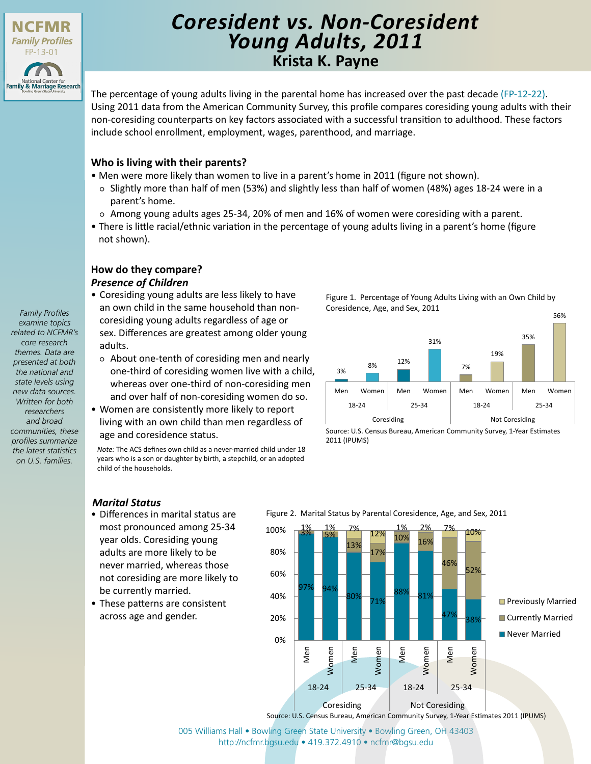

# **Krista K. Payne** *Coresident vs. Non-Coresident Young Adults, 2011*

The percentage of young adults living in the parental home has increased over the past decade [\(FP-12-22\)](http://ncfmr.bgsu.edu/pdf/family_profiles/file122548.pdf). Using 2011 data from the American Community Survey, this profile compares coresiding young adults with their non-coresiding counterparts on key factors associated with a successful transition to adulthood. These factors include school enrollment, employment, wages, parenthood, and marriage.

# **Who is living with their parents?**

- Men were more likely than women to live in a parent's home in 2011 (figure not shown).
	- Slightly more than half of men (53%) and slightly less than half of women (48%) ages 18-24 were in a parent's home.
	- Among young adults ages 25-34, 20% of men and 16% of women were coresiding with a parent.
- There is little racial/ethnic variation in the percentage of young adults living in a parent's home (figure not shown).

# **How do they compare?** *Presence of Children*

- Coresiding young adults are less likely to have an own child in the same household than noncoresiding young adults regardless of age or sex. Differences are greatest among older young adults.
- About one-tenth of coresiding men and nearly one-third of coresiding women live with a child, whereas over one-third of non-coresiding men and over half of non-coresiding women do so.
- Women are consistently more likely to report living with an own child than men regardless of age and coresidence status.

*Note:* The ACS defines own child as a never-married child under 18 years who is a son or daughter by birth, a stepchild, or an adopted child of the households.

Figure 1. Percentage of Young Adults Living with an Own Child by Coresidence, Age, and Sex, 2011



Source: U.S. Census Bureau, American Community Survey, 1-Year Estimates 2011 (IPUMS)

# *Marital Status*

- Differences in marital status are most pronounced among 25-34 year olds. Coresiding young adults are more likely to be never married, whereas those not coresiding are more likely to be currently married.
- These patterns are consistent across age and gender.



[005 Williams Hall • Bowling Green State University • Bowling Green, OH 43403](http://ncfmr.bgsu.edu) http://ncfmr.bgsu.edu • 419.372.4910 • ncfmr@bgsu.edu

*examine topics related to NCFMR's core research themes. Data are presented at both the national and state levels using new data sources. Written for both researchers and broad communities, these profiles summarize the latest statistics on U.S. families.*

*Family Profiles*